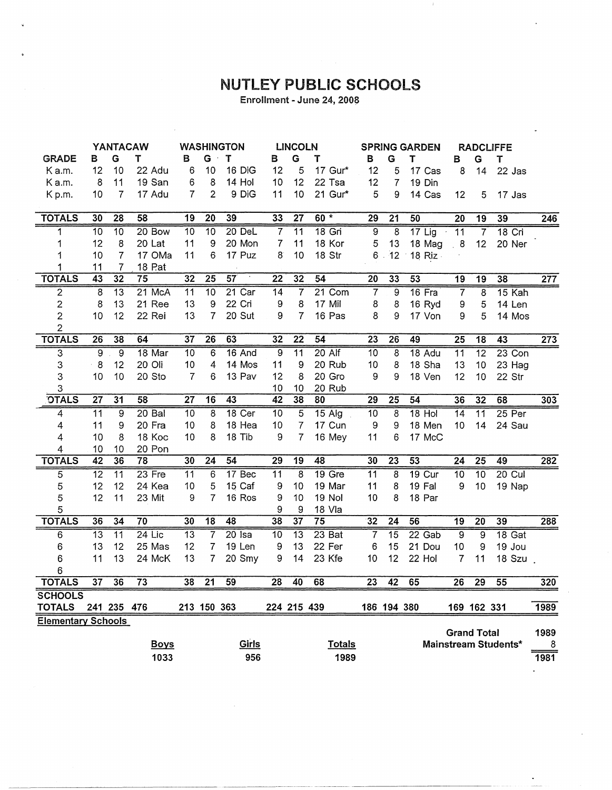## NUTLEY PUBLIC SCHOOLS

Enrollment - June 24, 2008

|                           | YANTACAW        |                 | <b>WASHINGTON</b> |                 |                  | <b>LINCOLN</b>      |                 |                  | <b>SPRING GARDEN</b> |                 | <b>RADCLIFFE</b> |               |                           |                 |                      |                       |
|---------------------------|-----------------|-----------------|-------------------|-----------------|------------------|---------------------|-----------------|------------------|----------------------|-----------------|------------------|---------------|---------------------------|-----------------|----------------------|-----------------------|
| <b>GRADE</b>              | В               | G               | т                 | в               | G                | т                   | в               | G                | т                    | В               | G                | т             | в                         | G               | Т                    |                       |
| K a.m.                    | 12              | 10              | 22 Adu            | 6               | 10               | 16 DiG              | 12              | 5                | 17 Gur*              | 12              | 5                | 17 Cas        | 8                         | 14              | 22 Jas               |                       |
| K a.m.                    | 8               | 11              | 19 San            | 6               | 8                | 14 Hol              | 10              | 12               | 22 Tsa               | 12              | $\overline{7}$   | 19 Din        |                           |                 |                      |                       |
| Kp.m.                     | 10              | $\overline{7}$  | 17 Adu            | $\overline{7}$  | $\overline{2}$   | 9 DiG               | 11              | 10               | 21 Gur*              | 5               | 9                | 14 Cas        | 12                        | 5               | 17 Jas               |                       |
|                           |                 |                 |                   |                 |                  |                     |                 |                  |                      |                 |                  |               |                           |                 |                      |                       |
| <b>TOTALS</b>             | 30              | 28              | 58                | 19              | $\overline{20}$  | 39                  | 33              | $\overline{27}$  | $60*$                | 29              | 21               | 50            | 20                        | 19              | 39                   | 246                   |
| 1                         | 10              | $\overline{10}$ | 20 Bow            | 10              | 10               | 20 DeL              | $\overline{7}$  | $\overline{11}$  | $18$ Gri             | $\overline{9}$  | 8                | $17$ Lig      | $\overline{11}$<br>$\sim$ | $\overline{7}$  | $18$ Cri             |                       |
| 1                         | 12              | 8               | 20 Lat            | 11              | 9                | 20 Mon              | 7               | 11               | 18 Kor               | 5               | 13               | 18 Mag        | 8 <sub>1</sub>            | 12              | 20 Ner               |                       |
| 1                         | 10              | $\overline{7}$  | 17 OMa            | 11              | 6                | 17 Puz              | 8               | 10               | 18 Str               |                 | $6$ .<br>12      | 18 $Riz -$    |                           |                 |                      |                       |
|                           | 11              | 7               | 18 P.at           |                 |                  |                     |                 |                  |                      |                 |                  |               |                           |                 |                      |                       |
| <b>TOTALS</b>             | 43              | 32              | 75                | 32              | 25               | 57<br>$\mathcal{A}$ | 22              | 32               | 54                   | 20              | 33               | 53            | 19                        | 19              | 38                   | $\overline{277}$      |
| $\overline{2}$            | $\overline{8}$  | $\overline{13}$ | 21 McA            | 11              | 10               | 21 Car              | 14              | $\overline{7}$   | 21 Com               | $\overline{7}$  | $\overline{9}$   | 16 Fra        | $\overline{7}$            | $\overline{8}$  | 15 Kah               |                       |
| $\overline{\mathbf{c}}$   | 8               | 13              | 21 Ree            | 13              | $\boldsymbol{9}$ | 22 Cri              | 9               | 8                | 17 Mil               | 8               | 8                | 16 Ryd        | 9                         | $\sqrt{5}$      | 14 Len               |                       |
| $\overline{2}$            | 10              | 12              | 22 Rei            | 13              | $\overline{7}$   | 20 Sut              | 9               | $\overline{7}$   | 16 Pas               | 8               | 9                | 17 Von        | 9                         | 5               | 14 Mos               |                       |
| 2                         |                 |                 |                   |                 |                  |                     |                 |                  |                      |                 |                  |               |                           |                 |                      |                       |
| <b>TOTALS</b>             | $\overline{26}$ | 38              | 64                | 37              | 26               | 63                  | 32              | $\overline{22}$  | 54                   | 23              | 26               | 49            | 25                        | 18              | 43                   | $\overline{273}$      |
| 3                         | $\overline{9}$  | $\overline{9}$  | 18 Mar            | 10              | 6                | 16 And              | $\overline{9}$  | $\overline{11}$  | $20$ Alf             | 10              | $\overline{8}$   | 18 Adu        | $\overline{11}$           | $\overline{12}$ | $23$ Con             |                       |
| 3                         | 8               | 12              | 20 Oli            | 10              | $\overline{4}$   | 14 Mos              | 11              | $\boldsymbol{9}$ | 20 Rub               | 10              | 8                | 18 Sha        | 13                        | 10              | 23 Hag               |                       |
| 3                         | 10              | 10              | 20 Sto            | 7               | 6                | 13 Pav              | 12              | 8                | 20 Gro               | 9               | 9                | 18 Ven        | 12                        | 10              | 22 Str               |                       |
| 3                         |                 |                 |                   |                 |                  |                     | 10              | 10               | 20 Rub               |                 |                  |               |                           |                 |                      |                       |
| <b>OTALS</b>              | $\overline{27}$ | 31              | 58                | $\overline{27}$ | 16               | $\overline{43}$     | $\overline{42}$ | 38               | 80                   | $\overline{29}$ | $\overline{25}$  | 54            | 36                        | 32              | 68                   | 303                   |
| 4                         | $\overline{11}$ | $\overline{9}$  | $20$ Bal          | 10              | $\overline{8}$   | $18$ Cer            | 10              | 5                | $15$ Alg             | 10              | 8                | $18$ Hol      | $\overline{14}$           | $\overline{11}$ | $25$ Per             |                       |
| 4                         | 11              | 9               | 20 Fra            | 10              | 8                | 18 Hea              | 10              | $\overline{7}$   | 17 Cun               | 9               | 9                | 18 Men        | 10                        | 14              | 24 Sau               |                       |
| 4                         | 10              | 8               | 18 Koc            | 10              | 8                | 18 Tib              | 9               | $\overline{7}$   | 16 Mey               | 11              | 6                | 17 McC        |                           |                 |                      |                       |
| 4                         | 10              | 10              | 20 Pon            |                 |                  |                     |                 |                  |                      |                 |                  |               |                           |                 |                      |                       |
| <b>TOTALS</b>             | 42              | 36              | 78                | $\overline{30}$ | 24               | 54                  | $\overline{29}$ | 19               | 48                   | 30              | 23               | 53            | 24                        | 25              | 49                   | 282                   |
| 5                         | 12              | 11              | 23 Fre            | 11              | 6                | 17 Bec              | 11              | $\overline{8}$   | $19$ Gre             | 11              | 8                | <b>19 Cur</b> | $\overline{10}$           | $\overline{10}$ | $20$ Cul             |                       |
| 5                         | 12              | 12              | 24 Kea            | 10              | 5                | 15 Caf              | 9               | 10               | 19 Mar               | 11              | 8                | 19 Fal        | 9                         | 10              | 19 Nap               |                       |
| 5                         | 12              | 11              | 23 Mit            | 9               | $\overline{7}$   | 16 Ros              | 9               | 10               | 19 Nol               | 10              | 8                | 18 Par        |                           |                 |                      |                       |
| 5                         |                 |                 |                   |                 |                  |                     | 9               | 9                | 18 Vla               |                 |                  |               |                           |                 |                      |                       |
| <b>TOTALS</b>             | 36              | $\overline{34}$ | 70                | 30              | $\overline{18}$  | $\overline{48}$     | 38              | 37               | 75                   | 32              | $\overline{24}$  | 56            | 19                        | 20              | 39                   | 288                   |
| 6                         | 13              | 11              | $24$ Lic          | $\overline{13}$ | 7                | $20$ Isa            | 10              | $\overline{13}$  | 23 Bat               | 7               | 15               | 22 Gab        | $\overline{9}$            | $\overline{9}$  | 18 Gat               |                       |
| 6                         | 13              | 12              | 25 Mas            | 12              | $\overline{7}$   | 19 Len              | 9               | 13               | 22 Fer               | 6               | 15               | 21 Dou        | 10                        | 9               | 19 Jou               |                       |
| 6                         | 11              | 13              | 24 McK            | 13              | 7                | 20 Smy              | 9               | 14               | 23 Kfe               | 10              | 12               | 22 Hol        | 7                         | 11              | 18 Szu               |                       |
| 6                         |                 |                 |                   |                 |                  |                     |                 |                  |                      |                 |                  |               |                           |                 |                      |                       |
| <b>TOTALS</b>             | 37              | 36              | 73                | 38              | 21               | 59                  | 28              | 40               | 68                   | 23              | 42               | 65            | 26                        | 29              | 55                   | 320                   |
| <b>SCHOOLS</b>            |                 |                 |                   |                 |                  |                     |                 |                  |                      |                 |                  |               |                           |                 |                      |                       |
| <b>TOTALS</b>             |                 | 241 235 476     |                   |                 | 213 150 363      |                     |                 | 224 215 439      |                      |                 | 186 194 380      |               |                           | 169 162 331     |                      | 1989                  |
| <b>Elementary Schools</b> |                 |                 |                   |                 |                  |                     |                 |                  |                      |                 |                  |               |                           |                 |                      |                       |
|                           |                 |                 |                   |                 |                  |                     |                 |                  |                      |                 |                  |               | <b>Grand Total</b>        |                 |                      | 1989                  |
|                           |                 |                 | <b>Boys</b>       |                 |                  | Girls               |                 |                  | <b>Totals</b>        |                 |                  |               |                           |                 | Mainstream Students* | $\boldsymbol{\delta}$ |
|                           |                 |                 | 1033              |                 |                  | 956                 |                 |                  | 1989                 |                 |                  |               |                           |                 |                      | 1981                  |